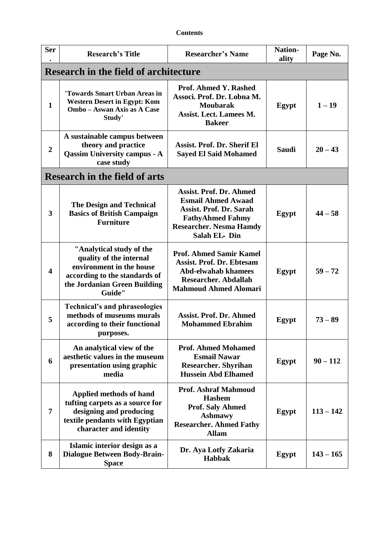| <b>Contents</b> |
|-----------------|
|-----------------|

| <b>Ser</b>              | <b>Research's Title</b>                                                                                                                                    | <b>Researcher's Name</b>                                                                                                                                                   | <b>Nation-</b><br>ality | Page No.    |
|-------------------------|------------------------------------------------------------------------------------------------------------------------------------------------------------|----------------------------------------------------------------------------------------------------------------------------------------------------------------------------|-------------------------|-------------|
|                         | <b>Research in the field of architecture</b>                                                                                                               |                                                                                                                                                                            |                         |             |
| $\mathbf{1}$            | 'Towards Smart Urban Areas in<br><b>Western Desert in Egypt: Kom</b><br>Ombo - Aswan Axis as A Case<br>Study'                                              | <b>Prof. Ahmed Y. Rashed</b><br>Associ. Prof. Dr. Lobna M.<br><b>Moubarak</b><br><b>Assist. Lect. Lamees M.</b><br><b>Bakeer</b>                                           | Egypt                   | $1 - 19$    |
| $\overline{2}$          | A sustainable campus between<br>theory and practice<br><b>Qassim University campus - A</b><br>case study                                                   | <b>Assist. Prof. Dr. Sherif El</b><br><b>Sayed El Said Mohamed</b>                                                                                                         | <b>Saudi</b>            | $20 - 43$   |
|                         | <b>Research in the field of arts</b>                                                                                                                       |                                                                                                                                                                            |                         |             |
| 3                       | <b>The Design and Technical</b><br><b>Basics of British Campaign</b><br><b>Furniture</b>                                                                   | <b>Assist. Prof. Dr. Ahmed</b><br><b>Esmail Ahmed Awaad</b><br><b>Assist. Prof. Dr. Sarah</b><br><b>FathyAhmed Fahmy</b><br><b>Researcher. Nesma Hamdy</b><br>Salah EL-Din | Egypt                   | $44 - 58$   |
| $\overline{\mathbf{4}}$ | "Analytical study of the<br>quality of the internal<br>environment in the house<br>according to the standards of<br>the Jordanian Green Building<br>Guide" | <b>Prof. Ahmed Samir Kamel</b><br><b>Assist. Prof. Dr. Ebtesam</b><br><b>Abd-elwahab khamees</b><br><b>Researcher. Abdallah</b><br><b>Mahmoud Ahmed Alomari</b>            | Egypt                   | $59 - 72$   |
| 5                       | <b>Technical's and phraseologies</b><br>methods of museums murals<br>according to their functional<br>purposes.                                            | <b>Assist. Prof. Dr. Ahmed</b><br><b>Mohammed Ebrahim</b>                                                                                                                  | Egypt                   | $73 - 89$   |
| 6                       | An analytical view of the<br>aesthetic values in the museum<br>presentation using graphic<br>media                                                         | <b>Prof. Ahmed Mohamed</b><br><b>Esmail Nawar</b><br><b>Researcher. Shyrihan</b><br><b>Hussein Abd Elhamed</b>                                                             | Egypt                   | $90 - 112$  |
| 7                       | Applied methods of hand<br>tufting carpets as a source for<br>designing and producing<br>textile pendants with Egyptian<br>character and identity          | <b>Prof. Ashraf Mahmoud</b><br><b>Hashem</b><br><b>Prof. Saly Ahmed</b><br><b>Ashmawy</b><br><b>Researcher. Ahmed Fathy</b><br><b>Allam</b>                                | Egypt                   | $113 - 142$ |
| 8                       | Islamic interior design as a<br><b>Dialogue Between Body-Brain-</b><br><b>Space</b>                                                                        | Dr. Aya Lotfy Zakaria<br>Habbak                                                                                                                                            | Egypt                   | $143 - 165$ |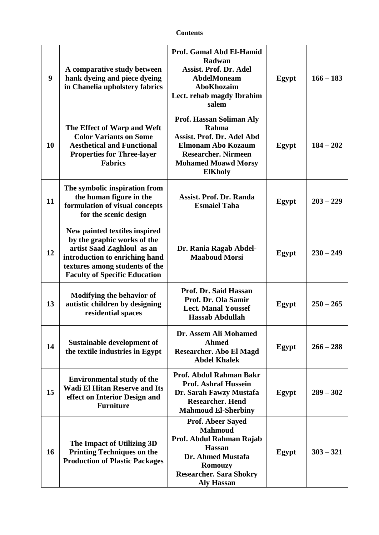| 9  | A comparative study between<br>hank dyeing and piece dyeing<br>in Chanelia upholstery fabrics                                                                                                          | Prof. Gamal Abd El-Hamid<br>Radwan<br><b>Assist. Prof. Dr. Adel</b><br><b>AbdelMoneam</b><br><b>AboKhozaim</b><br>Lect. rehab magdy Ibrahim<br>salem                                  | Egypt | $166 - 183$ |
|----|--------------------------------------------------------------------------------------------------------------------------------------------------------------------------------------------------------|---------------------------------------------------------------------------------------------------------------------------------------------------------------------------------------|-------|-------------|
| 10 | The Effect of Warp and Weft<br><b>Color Variants on Some</b><br><b>Aesthetical and Functional</b><br><b>Properties for Three-layer</b><br><b>Fabrics</b>                                               | Prof. Hassan Soliman Aly<br>Rahma<br>Assist. Prof. Dr. Adel Abd<br>Elmonam Abo Kozaum<br><b>Researcher. Nirmeen</b><br><b>Mohamed Moawd Morsy</b><br><b>ElKholy</b>                   | Egypt | $184 - 202$ |
| 11 | The symbolic inspiration from<br>the human figure in the<br>formulation of visual concepts<br>for the scenic design                                                                                    | <b>Assist. Prof. Dr. Randa</b><br><b>Esmaiel Taha</b>                                                                                                                                 | Egypt | $203 - 229$ |
| 12 | New painted textiles inspired<br>by the graphic works of the<br>artist Saad Zaghloul as an<br>introduction to enriching hand<br>textures among students of the<br><b>Faculty of Specific Education</b> | Dr. Rania Ragab Abdel-<br><b>Maaboud Morsi</b>                                                                                                                                        | Egypt | $230 - 249$ |
| 13 | <b>Modifying the behavior of</b><br>autistic children by designing<br>residential spaces                                                                                                               | Prof. Dr. Said Hassan<br>Prof. Dr. Ola Samir<br><b>Lect. Manal Youssef</b><br><b>Hassab Abdullah</b>                                                                                  | Egypt | $250 - 265$ |
| 14 | Sustainable development of<br>the textile industries in Egypt                                                                                                                                          | Dr. Assem Ali Mohamed<br><b>Ahmed</b><br><b>Researcher. Abo El Magd</b><br><b>Abdel Khalek</b>                                                                                        | Egypt | $266 - 288$ |
| 15 | <b>Environmental study of the</b><br><b>Wadi El Hitan Reserve and Its</b><br>effect on Interior Design and<br><b>Furniture</b>                                                                         | Prof. Abdul Rahman Bakr<br><b>Prof. Ashraf Hussein</b><br>Dr. Sarah Fawzy Mustafa<br><b>Researcher. Hend</b><br><b>Mahmoud El-Sherbiny</b>                                            | Egypt | $289 - 302$ |
| 16 | The Impact of Utilizing 3D<br><b>Printing Techniques on the</b><br><b>Production of Plastic Packages</b>                                                                                               | <b>Prof. Abeer Sayed</b><br><b>Mahmoud</b><br>Prof. Abdul Rahman Rajab<br><b>Hassan</b><br>Dr. Ahmed Mustafa<br><b>Romouzy</b><br><b>Researcher. Sara Shokry</b><br><b>Aly Hassan</b> | Egypt | $303 - 321$ |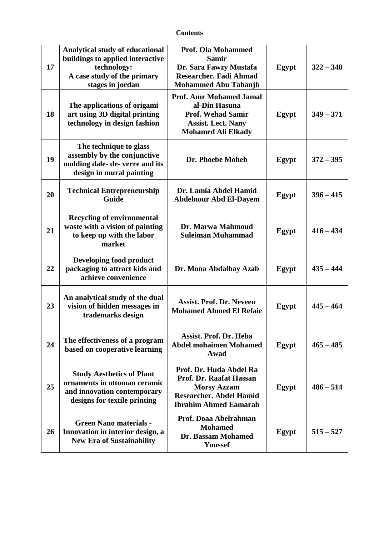| 17 | Analytical study of educational<br>buildings to applied interactive<br>technology:<br>A case study of the primary<br>stages in jordan | <b>Prof. Ola Mohammed</b><br><b>Samir</b><br>Dr. Sara Fawzy Mustafa<br><b>Researcher. Fadi Ahmad</b><br><b>Mohammed Abu Tabanjh</b>        | Egypt | $322 - 348$ |
|----|---------------------------------------------------------------------------------------------------------------------------------------|--------------------------------------------------------------------------------------------------------------------------------------------|-------|-------------|
| 18 | The applications of origami<br>art using 3D digital printing<br>technology in design fashion                                          | <b>Prof. Amr Mohamed Jamal</b><br>al-Din Hasuna<br><b>Prof. Wehad Samir</b><br><b>Assist. Lect. Nany</b><br><b>Mohamed Ali Elkady</b>      | Egypt | $349 - 371$ |
| 19 | The technique to glass<br>assembly by the conjunctive<br>molding dale- de- verre and its<br>design in mural painting                  | Dr. Phoebe Moheb                                                                                                                           | Egypt | $372 - 395$ |
| 20 | <b>Technical Entrepreneurship</b><br><b>Guide</b>                                                                                     | Dr. Lamia Abdel Hamid<br><b>Abdelnour Abd El-Dayem</b>                                                                                     | Egypt | $396 - 415$ |
| 21 | <b>Recycling of environmental</b><br>waste with a vision of painting<br>to keep up with the labor<br>market                           | Dr. Marwa Mahmoud<br><b>Suleiman Muhammad</b>                                                                                              | Egypt | $416 - 434$ |
| 22 | Developing food product<br>packaging to attract kids and<br>achieve convenience                                                       | Dr. Mona Abdalhay Azab                                                                                                                     | Egypt | $435 - 444$ |
| 23 | An analytical study of the dual<br>vision of hidden messages in<br>trademarks design                                                  | <b>Assist. Prof. Dr. Neveen</b><br><b>Mohamed Ahmed El Refaie</b>                                                                          | Egypt | $445 - 464$ |
| 24 | The effectiveness of a program<br>based on cooperative learning                                                                       | Assist. Prof. Dr. Heba<br><b>Abdel mohaimen Mohamed</b><br>Awad                                                                            | Egypt | $465 - 485$ |
| 25 | <b>Study Aesthetics of Plant</b><br>ornaments in ottoman ceramic<br>and innovation contemporary<br>designs for textile printing       | Prof. Dr. Huda Abdel Ra<br>Prof. Dr. Raafat Hassan<br><b>Morsy Azzam</b><br><b>Researcher. Abdel Hamid</b><br><b>Ibrahim Ahmed Eamarah</b> | Egypt | $486 - 514$ |
| 26 | <b>Green Nano materials -</b><br>Innovation in interior design, a<br><b>New Era of Sustainability</b>                                 | Prof. Doaa Abelrahman<br><b>Mohamed</b><br>Dr. Bassam Mohamed<br>Youssef                                                                   | Egypt | $515 - 527$ |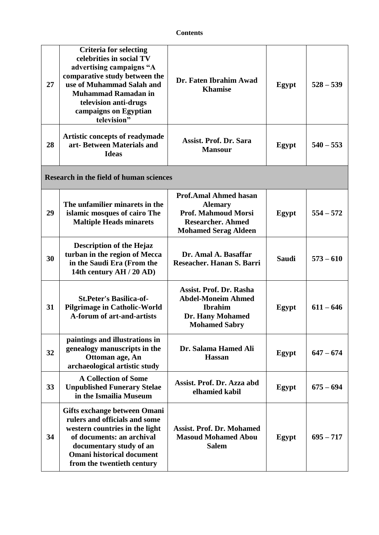| 27 | <b>Criteria for selecting</b><br>celebrities in social TV<br>advertising campaigns "A<br>comparative study between the<br>use of Muhammad Salah and<br><b>Muhammad Ramadan in</b><br>television anti-drugs<br>campaigns on Egyptian<br>television" | Dr. Faten Ibrahim Awad<br><b>Khamise</b>                                                                                                | Egypt        | $528 - 539$ |
|----|----------------------------------------------------------------------------------------------------------------------------------------------------------------------------------------------------------------------------------------------------|-----------------------------------------------------------------------------------------------------------------------------------------|--------------|-------------|
| 28 | Artistic concepts of readymade<br>art-Between Materials and<br><b>Ideas</b>                                                                                                                                                                        | <b>Assist. Prof. Dr. Sara</b><br><b>Mansour</b>                                                                                         | Egypt        | $540 - 553$ |
|    | <b>Research in the field of human sciences</b>                                                                                                                                                                                                     |                                                                                                                                         |              |             |
| 29 | The unfamilier minarets in the<br>islamic mosques of cairo The<br><b>Maltiple Heads minarets</b>                                                                                                                                                   | <b>Prof.Amal Ahmed hasan</b><br><b>Alemary</b><br><b>Prof. Mahmoud Morsi</b><br><b>Researcher. Ahmed</b><br><b>Mohamed Serag Aldeen</b> | Egypt        | $554 - 572$ |
| 30 | <b>Description of the Hejaz</b><br>turban in the region of Mecca<br>in the Saudi Era (From the<br>14th century AH / 20 AD)                                                                                                                         | Dr. Amal A. Basaffar<br>Reseacher. Hanan S. Barri                                                                                       | <b>Saudi</b> | $573 - 610$ |
| 31 | <b>St.Peter's Basilica-of-</b><br><b>Pilgrimage in Catholic-World</b><br><b>A-forum of art-and-artists</b>                                                                                                                                         | <b>Assist. Prof. Dr. Rasha</b><br><b>Abdel-Moneim Ahmed</b><br><b>Ibrahim</b><br>Dr. Hany Mohamed<br><b>Mohamed Sabry</b>               | Egypt        | $611 - 646$ |
| 32 | paintings and illustrations in<br>genealogy manuscripts in the<br>Ottoman age, An<br>archaeological artistic study                                                                                                                                 | Dr. Salama Hamed Ali<br><b>Hassan</b>                                                                                                   | Egypt        | $647 - 674$ |
| 33 | <b>A Collection of Some</b><br><b>Unpublished Funerary Stelae</b><br>in the Ismailia Museum                                                                                                                                                        | Assist. Prof. Dr. Azza abd<br>elhamied kabil                                                                                            | Egypt        | $675 - 694$ |
| 34 | Gifts exchange between Omani<br>rulers and officials and some<br>western countries in the light<br>of documents: an archival<br>documentary study of an<br><b>Omani historical document</b><br>from the twentieth century                          | <b>Assist. Prof. Dr. Mohamed</b><br><b>Masoud Mohamed Abou</b><br><b>Salem</b>                                                          | Egypt        | $695 - 717$ |